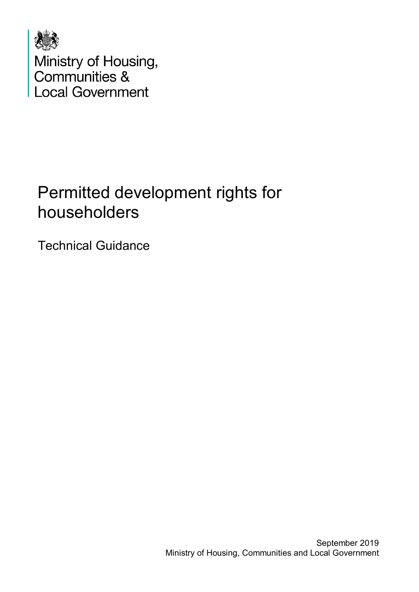

# Permitted development rights for householders

Technical Guidance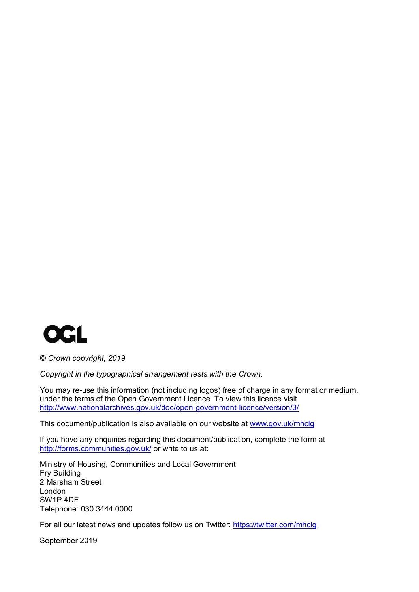

*© Crown copyright, 2019*

*Copyright in the typographical arrangement rests with the Crown.*

You may re-use this information (not including logos) free of charge in any format or medium, under the terms of the Open Government Licence. To view this licence visit <http://www.nationalarchives.gov.uk/doc/open-government-licence/version/3/>

This document/publication is also available on our website at [www.gov.uk/mhclg](http://www.gov.uk/mhclg)

If you have any enquiries regarding this document/publication, complete the form at <http://forms.communities.gov.uk/> or write to us at:

Ministry of Housing, Communities and Local Government Fry Building 2 Marsham Street London SW1P 4DF Telephone: 030 3444 0000

For all our latest news and updates follow us on Twitter:<https://twitter.com/mhclg>

September 2019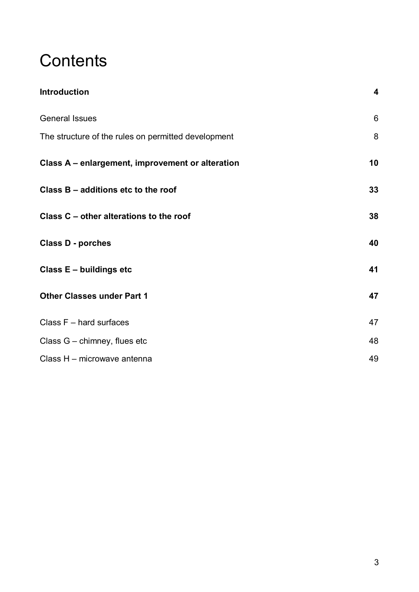# **Contents**

| <b>Introduction</b>                                 | 4     |
|-----------------------------------------------------|-------|
| <b>General Issues</b>                               | $6\,$ |
| The structure of the rules on permitted development | 8     |
| Class A - enlargement, improvement or alteration    | 10    |
| Class B - additions etc to the roof                 | 33    |
| Class C – other alterations to the roof             | 38    |
| <b>Class D - porches</b>                            | 40    |
| Class E - buildings etc                             | 41    |
| <b>Other Classes under Part 1</b>                   | 47    |
| Class $F$ – hard surfaces                           | 47    |
| Class G - chimney, flues etc                        | 48    |
| Class H - microwave antenna                         | 49    |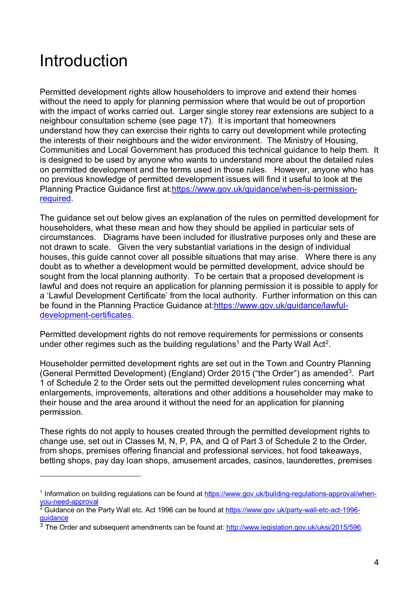# <span id="page-3-0"></span>Introduction

-

Permitted development rights allow householders to improve and extend their homes without the need to apply for planning permission where that would be out of proportion with the impact of works carried out. Larger single storey rear extensions are subject to a neighbour consultation scheme (see page 17). It is important that homeowners understand how they can exercise their rights to carry out development while protecting the interests of their neighbours and the wider environment. The Ministry of Housing, Communities and Local Government has produced this technical guidance to help them. It is designed to be used by anyone who wants to understand more about the detailed rules on permitted development and the terms used in those rules. However, anyone who has no previous knowledge of permitted development issues will find it useful to look at the Planning Practice Guidance first at[:https://www.gov.uk/guidance/when-is-permission](https://www.gov.uk/guidance/when-is-permission-required)[required.](https://www.gov.uk/guidance/when-is-permission-required)

The guidance set out below gives an explanation of the rules on permitted development for householders, what these mean and how they should be applied in particular sets of circumstances. Diagrams have been included for illustrative purposes only and these are not drawn to scale. Given the very substantial variations in the design of individual houses, this guide cannot cover all possible situations that may arise. Where there is any doubt as to whether a development would be permitted development, advice should be sought from the local planning authority. To be certain that a proposed development is lawful and does not require an application for planning permission it is possible to apply for a 'Lawful Development Certificate' from the local authority. Further information on this can be found in the Planning Practice Guidance at[:https://www.gov.uk/guidance/lawful](https://www.gov.uk/guidance/lawful-development-certificates)[development-certificates.](https://www.gov.uk/guidance/lawful-development-certificates)

Permitted development rights do not remove requirements for permissions or consents under other regimes such as the building regulations<sup>[1](#page-3-1)</sup> and the Party Wall Act<sup>[2](#page-3-2)</sup>.

Householder permitted development rights are set out in the Town and Country Planning (General Permitted Development) (England) Order 2015 ("the Order") as amended<sup>3</sup>. Part 1 of Schedule 2 to the Order sets out the permitted development rules concerning what enlargements, improvements, alterations and other additions a householder may make to their house and the area around it without the need for an application for planning permission.

These rights do not apply to houses created through the permitted development rights to change use, set out in Classes M, N, P, PA, and Q of Part 3 of Schedule 2 to the Order, from shops, premises offering financial and professional services, hot food takeaways, betting shops, pay day loan shops, amusement arcades, casinos, launderettes, premises

<span id="page-3-1"></span><sup>1</sup> Information on building regulations can be found at [https://www.gov.uk/building-regulations-approval/when](https://www.gov.uk/building-regulations-approval/when-you-need-approval)[you-need-approval](https://www.gov.uk/building-regulations-approval/when-you-need-approval)

<span id="page-3-2"></span><sup>&</sup>lt;sup>2</sup> Guidance on the Party Wall etc. Act 1996 can be found at <u>https://www.gov.uk/party-wall-etc-act-1996</u>[guidance](https://www.gov.uk/party-wall-etc-act-1996-guidance)

<span id="page-3-3"></span> $3$  The Order and subsequent amendments can be found at: [http://www.legislation.gov.uk/uksi/2015/596.](http://www.legislation.gov.uk/uksi/2015/596)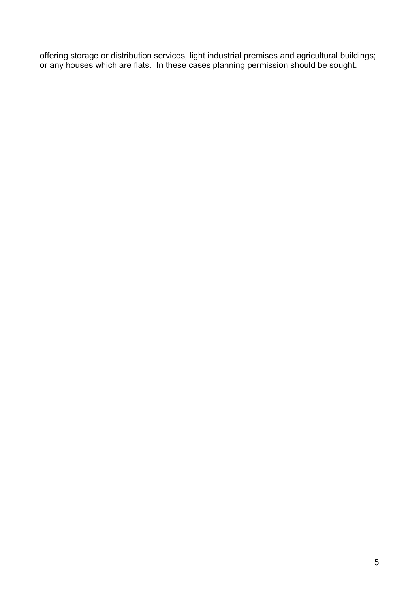offering storage or distribution services, light industrial premises and agricultural buildings; or any houses which are flats. In these cases planning permission should be sought.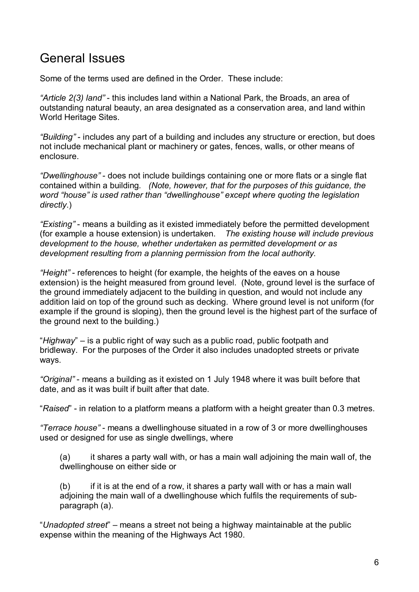# <span id="page-5-0"></span>General Issues

Some of the terms used are defined in the Order. These include:

*"Article 2(3) land"* - this includes land within a National Park, the Broads, an area of outstanding natural beauty, an area designated as a conservation area, and land within World Heritage Sites.

*"Building"* - includes any part of a building and includes any structure or erection, but does not include mechanical plant or machinery or gates, fences, walls, or other means of enclosure.

*"Dwellinghouse"* - does not include buildings containing one or more flats or a single flat contained within a building*. (Note, however, that for the purposes of this guidance, the word "house" is used rather than "dwellinghouse" except where quoting the legislation directly*.)

*"Existing"* - means a building as it existed immediately before the permitted development (for example a house extension) is undertaken. *The existing house will include previous development to the house, whether undertaken as permitted development or as development resulting from a planning permission from the local authority.* 

*"Height"* - references to height (for example, the heights of the eaves on a house extension) is the height measured from ground level. (Note, ground level is the surface of the ground immediately adjacent to the building in question, and would not include any addition laid on top of the ground such as decking. Where ground level is not uniform (for example if the ground is sloping), then the ground level is the highest part of the surface of the ground next to the building.)

"*Highway*" – is a public right of way such as a public road, public footpath and bridleway. For the purposes of the Order it also includes unadopted streets or private ways.

*"Original"* - means a building as it existed on 1 July 1948 where it was built before that date, and as it was built if built after that date.

"*Raised*" - in relation to a platform means a platform with a height greater than 0.3 metres.

*"Terrace house" -* means a dwellinghouse situated in a row of 3 or more dwellinghouses used or designed for use as single dwellings, where

(a) it shares a party wall with, or has a main wall adjoining the main wall of, the dwellinghouse on either side or

(b) if it is at the end of a row, it shares a party wall with or has a main wall adjoining the main wall of a dwellinghouse which fulfils the requirements of subparagraph (a).

"*Unadopted street*" – means a street not being a highway maintainable at the public expense within the meaning of the Highways Act 1980.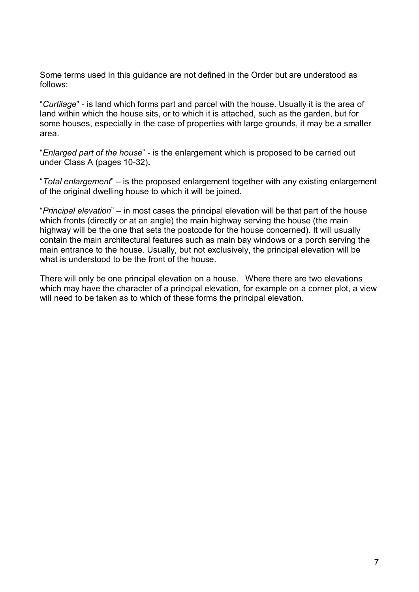Some terms used in this guidance are not defined in the Order but are understood as follows:

"*Curtilage*" - is land which forms part and parcel with the house. Usually it is the area of land within which the house sits, or to which it is attached, such as the garden, but for some houses, especially in the case of properties with large grounds, it may be a smaller area.

"*Enlarged part of the house*" - is the enlargement which is proposed to be carried out under Class A (pages 10-32)**.**

"*Total enlargement*" – is the proposed enlargement together with any existing enlargement of the original dwelling house to which it will be joined.

"*Principal elevation*" – in most cases the principal elevation will be that part of the house which fronts (directly or at an angle) the main highway serving the house (the main highway will be the one that sets the postcode for the house concerned). It will usually contain the main architectural features such as main bay windows or a porch serving the main entrance to the house. Usually, but not exclusively, the principal elevation will be what is understood to be the front of the house.

There will only be one principal elevation on a house. Where there are two elevations which may have the character of a principal elevation, for example on a corner plot, a view will need to be taken as to which of these forms the principal elevation.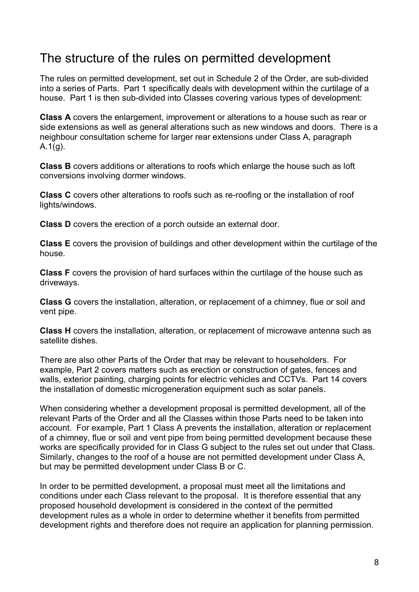# <span id="page-7-0"></span>The structure of the rules on permitted development

The rules on permitted development, set out in Schedule 2 of the Order, are sub-divided into a series of Parts. Part 1 specifically deals with development within the curtilage of a house. Part 1 is then sub-divided into Classes covering various types of development:

**Class A** covers the enlargement, improvement or alterations to a house such as rear or side extensions as well as general alterations such as new windows and doors. There is a neighbour consultation scheme for larger rear extensions under Class A, paragraph  $A.1(g)$ .

**Class B** covers additions or alterations to roofs which enlarge the house such as loft conversions involving dormer windows.

**Class C** covers other alterations to roofs such as re-roofing or the installation of roof lights/windows.

**Class D** covers the erection of a porch outside an external door.

**Class E** covers the provision of buildings and other development within the curtilage of the house.

**Class F** covers the provision of hard surfaces within the curtilage of the house such as driveways.

**Class G** covers the installation, alteration, or replacement of a chimney, flue or soil and vent pipe.

**Class H** covers the installation, alteration, or replacement of microwave antenna such as satellite dishes.

There are also other Parts of the Order that may be relevant to householders. For example, Part 2 covers matters such as erection or construction of gates, fences and walls, exterior painting, charging points for electric vehicles and CCTVs. Part 14 covers the installation of domestic microgeneration equipment such as solar panels.

When considering whether a development proposal is permitted development, all of the relevant Parts of the Order and all the Classes within those Parts need to be taken into account. For example, Part 1 Class A prevents the installation, alteration or replacement of a chimney, flue or soil and vent pipe from being permitted development because these works are specifically provided for in Class G subject to the rules set out under that Class. Similarly, changes to the roof of a house are not permitted development under Class A, but may be permitted development under Class B or C.

In order to be permitted development, a proposal must meet all the limitations and conditions under each Class relevant to the proposal. It is therefore essential that any proposed household development is considered in the context of the permitted development rules as a whole in order to determine whether it benefits from permitted development rights and therefore does not require an application for planning permission.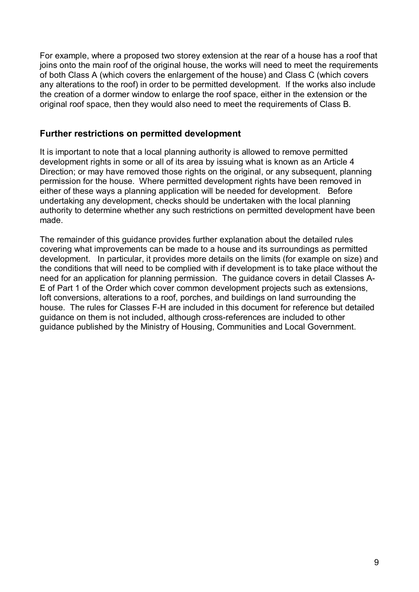For example, where a proposed two storey extension at the rear of a house has a roof that joins onto the main roof of the original house, the works will need to meet the requirements of both Class A (which covers the enlargement of the house) and Class C (which covers any alterations to the roof) in order to be permitted development. If the works also include the creation of a dormer window to enlarge the roof space, either in the extension or the original roof space, then they would also need to meet the requirements of Class B.

# **Further restrictions on permitted development**

It is important to note that a local planning authority is allowed to remove permitted development rights in some or all of its area by issuing what is known as an Article 4 Direction; or may have removed those rights on the original, or any subsequent, planning permission for the house. Where permitted development rights have been removed in either of these ways a planning application will be needed for development. Before undertaking any development, checks should be undertaken with the local planning authority to determine whether any such restrictions on permitted development have been made.

The remainder of this guidance provides further explanation about the detailed rules covering what improvements can be made to a house and its surroundings as permitted development. In particular, it provides more details on the limits (for example on size) and the conditions that will need to be complied with if development is to take place without the need for an application for planning permission. The guidance covers in detail Classes A-E of Part 1 of the Order which cover common development projects such as extensions, loft conversions, alterations to a roof, porches, and buildings on land surrounding the house. The rules for Classes F-H are included in this document for reference but detailed guidance on them is not included, although cross-references are included to other guidance published by the Ministry of Housing, Communities and Local Government.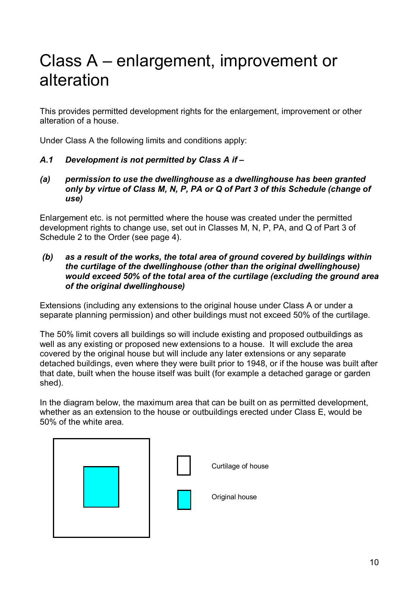# <span id="page-9-0"></span>Class A – enlargement, improvement or alteration

This provides permitted development rights for the enlargement, improvement or other alteration of a house.

Under Class A the following limits and conditions apply:

# *A.1 Development is not permitted by Class A if –*

*(a) permission to use the dwellinghouse as a dwellinghouse has been granted only by virtue of Class M, N, P, PA or Q of Part 3 of this Schedule (change of use)*

Enlargement etc. is not permitted where the house was created under the permitted development rights to change use, set out in Classes M, N, P, PA, and Q of Part 3 of Schedule 2 to the Order (see page 4).

*(b) as a result of the works, the total area of ground covered by buildings within the curtilage of the dwellinghouse (other than the original dwellinghouse) would exceed 50% of the total area of the curtilage (excluding the ground area of the original dwellinghouse)*

Extensions (including any extensions to the original house under Class A or under a separate planning permission) and other buildings must not exceed 50% of the curtilage.

The 50% limit covers all buildings so will include existing and proposed outbuildings as well as any existing or proposed new extensions to a house. It will exclude the area covered by the original house but will include any later extensions or any separate detached buildings, even where they were built prior to 1948, or if the house was built after that date, built when the house itself was built (for example a detached garage or garden shed).

In the diagram below, the maximum area that can be built on as permitted development, whether as an extension to the house or outbuildings erected under Class E, would be 50% of the white area.

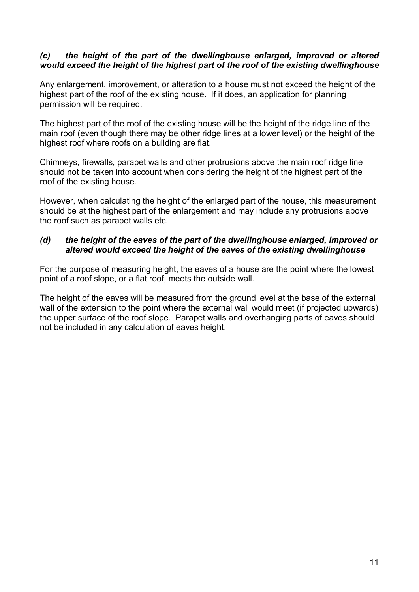### *(c) the height of the part of the dwellinghouse enlarged, improved or altered would exceed the height of the highest part of the roof of the existing dwellinghouse*

Any enlargement, improvement, or alteration to a house must not exceed the height of the highest part of the roof of the existing house. If it does, an application for planning permission will be required.

The highest part of the roof of the existing house will be the height of the ridge line of the main roof (even though there may be other ridge lines at a lower level) or the height of the highest roof where roofs on a building are flat.

Chimneys, firewalls, parapet walls and other protrusions above the main roof ridge line should not be taken into account when considering the height of the highest part of the roof of the existing house.

However, when calculating the height of the enlarged part of the house, this measurement should be at the highest part of the enlargement and may include any protrusions above the roof such as parapet walls etc.

### *(d) the height of the eaves of the part of the dwellinghouse enlarged, improved or altered would exceed the height of the eaves of the existing dwellinghouse*

For the purpose of measuring height, the eaves of a house are the point where the lowest point of a roof slope, or a flat roof, meets the outside wall.

The height of the eaves will be measured from the ground level at the base of the external wall of the extension to the point where the external wall would meet (if projected upwards) the upper surface of the roof slope. Parapet walls and overhanging parts of eaves should not be included in any calculation of eaves height.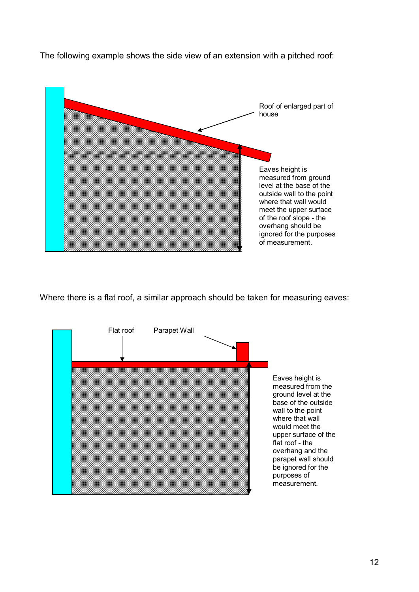

The following example shows the side view of an extension with a pitched roof:

Where there is a flat roof, a similar approach should be taken for measuring eaves:

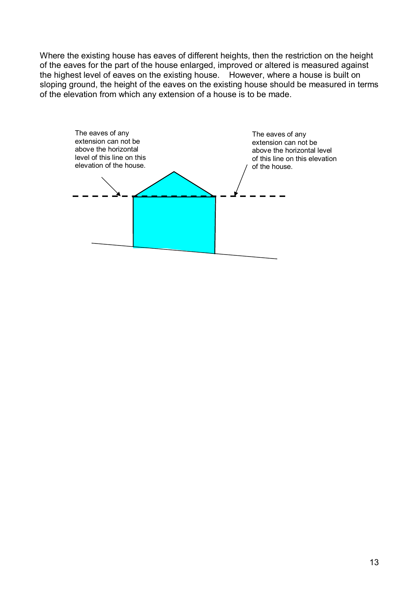Where the existing house has eaves of different heights, then the restriction on the height of the eaves for the part of the house enlarged, improved or altered is measured against the highest level of eaves on the existing house. However, where a house is built on sloping ground, the height of the eaves on the existing house should be measured in terms of the elevation from which any extension of a house is to be made.

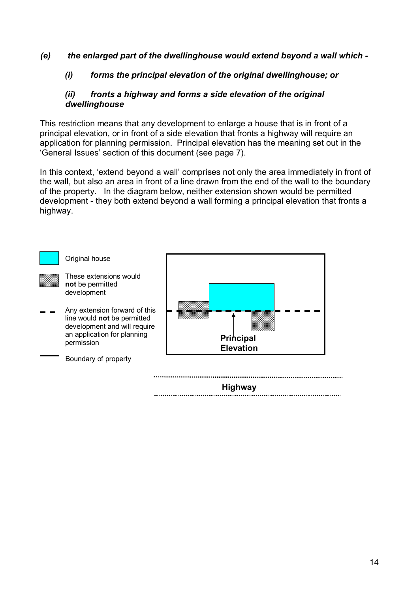*(e) the enlarged part of the dwellinghouse would extend beyond a wall which -*

### *(i) forms the principal elevation of the original dwellinghouse; or*

### *(ii) fronts a highway and forms a side elevation of the original dwellinghouse*

This restriction means that any development to enlarge a house that is in front of a principal elevation, or in front of a side elevation that fronts a highway will require an application for planning permission. Principal elevation has the meaning set out in the 'General Issues' section of this document (see page 7).

In this context, 'extend beyond a wall' comprises not only the area immediately in front of the wall, but also an area in front of a line drawn from the end of the wall to the boundary of the property. In the diagram below, neither extension shown would be permitted development - they both extend beyond a wall forming a principal elevation that fronts a highway.

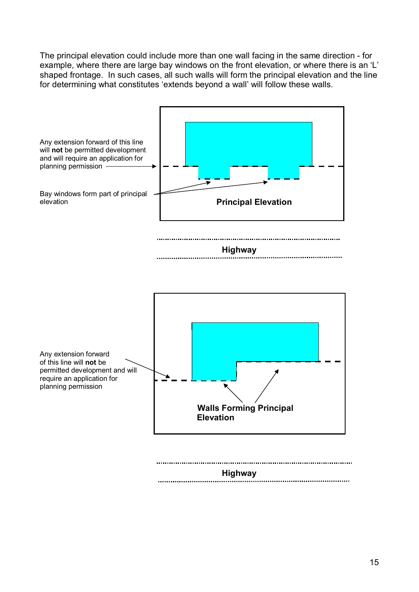The principal elevation could include more than one wall facing in the same direction - for example, where there are large bay windows on the front elevation, or where there is an 'L' shaped frontage. In such cases, all such walls will form the principal elevation and the line for determining what constitutes 'extends beyond a wall' will follow these walls.

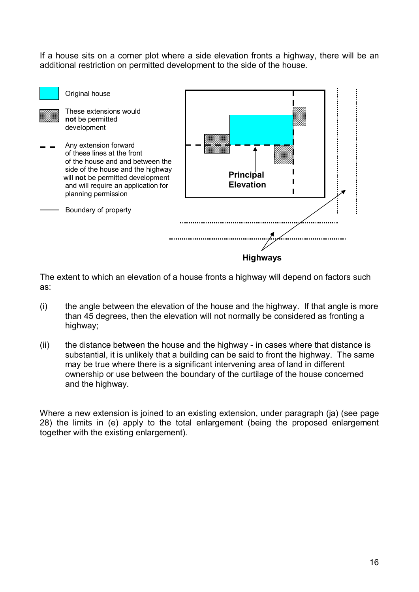If a house sits on a corner plot where a side elevation fronts a highway, there will be an additional restriction on permitted development to the side of the house.



The extent to which an elevation of a house fronts a highway will depend on factors such as:

- (i) the angle between the elevation of the house and the highway. If that angle is more than 45 degrees, then the elevation will not normally be considered as fronting a highway;
- (ii) the distance between the house and the highway in cases where that distance is substantial, it is unlikely that a building can be said to front the highway. The same may be true where there is a significant intervening area of land in different ownership or use between the boundary of the curtilage of the house concerned and the highway.

Where a new extension is joined to an existing extension, under paragraph (ja) (see page 28) the limits in (e) apply to the total enlargement (being the proposed enlargement together with the existing enlargement).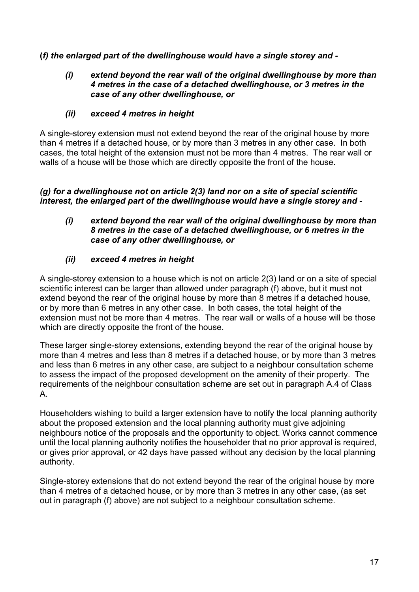# **(***f) the enlarged part of the dwellinghouse would have a single storey and -*

### *(i) extend beyond the rear wall of the original dwellinghouse by more than 4 metres in the case of a detached dwellinghouse, or 3 metres in the case of any other dwellinghouse, or*

# *(ii) exceed 4 metres in height*

A single-storey extension must not extend beyond the rear of the original house by more than 4 metres if a detached house, or by more than 3 metres in any other case. In both cases, the total height of the extension must not be more than 4 metres. The rear wall or walls of a house will be those which are directly opposite the front of the house.

*(g) for a dwellinghouse not on article 2(3) land nor on a site of special scientific interest, the enlarged part of the dwellinghouse would have a single storey and -*

*(i) extend beyond the rear wall of the original dwellinghouse by more than 8 metres in the case of a detached dwellinghouse, or 6 metres in the case of any other dwellinghouse, or* 

# *(ii) exceed 4 metres in height*

A single-storey extension to a house which is not on article 2(3) land or on a site of special scientific interest can be larger than allowed under paragraph (f) above, but it must not extend beyond the rear of the original house by more than 8 metres if a detached house, or by more than 6 metres in any other case. In both cases, the total height of the extension must not be more than 4 metres. The rear wall or walls of a house will be those which are directly opposite the front of the house.

These larger single-storey extensions, extending beyond the rear of the original house by more than 4 metres and less than 8 metres if a detached house, or by more than 3 metres and less than 6 metres in any other case, are subject to a neighbour consultation scheme to assess the impact of the proposed development on the amenity of their property. The requirements of the neighbour consultation scheme are set out in paragraph A.4 of Class A.

Householders wishing to build a larger extension have to notify the local planning authority about the proposed extension and the local planning authority must give adjoining neighbours notice of the proposals and the opportunity to object. Works cannot commence until the local planning authority notifies the householder that no prior approval is required, or gives prior approval, or 42 days have passed without any decision by the local planning authority.

Single-storey extensions that do not extend beyond the rear of the original house by more than 4 metres of a detached house, or by more than 3 metres in any other case, (as set out in paragraph (f) above) are not subject to a neighbour consultation scheme.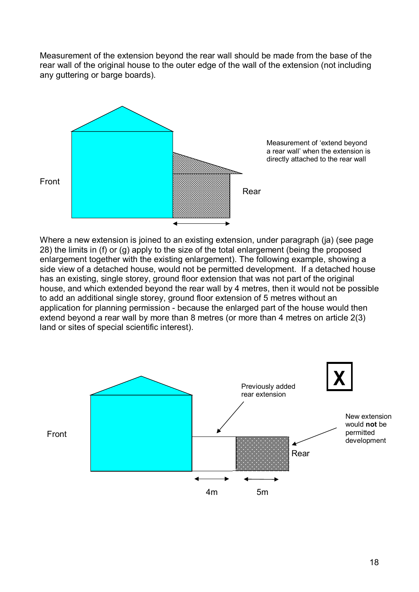Measurement of the extension beyond the rear wall should be made from the base of the rear wall of the original house to the outer edge of the wall of the extension (not including any guttering or barge boards).



Where a new extension is joined to an existing extension, under paragraph (ja) (see page 28) the limits in (f) or (g) apply to the size of the total enlargement (being the proposed enlargement together with the existing enlargement). The following example, showing a side view of a detached house, would not be permitted development. If a detached house has an existing, single storey, ground floor extension that was not part of the original house, and which extended beyond the rear wall by 4 metres, then it would not be possible to add an additional single storey, ground floor extension of 5 metres without an application for planning permission - because the enlarged part of the house would then extend beyond a rear wall by more than 8 metres (or more than 4 metres on article 2(3) land or sites of special scientific interest).



18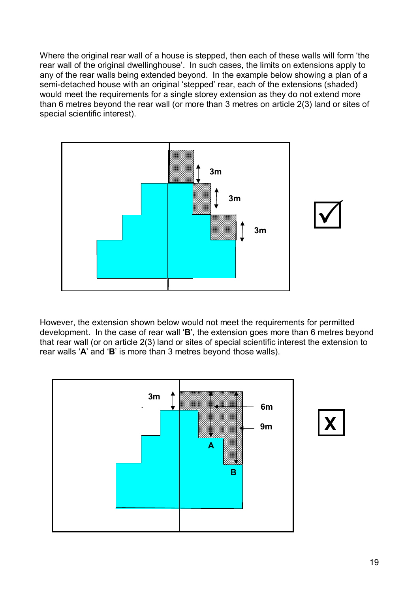Where the original rear wall of a house is stepped, then each of these walls will form 'the rear wall of the original dwellinghouse'. In such cases, the limits on extensions apply to any of the rear walls being extended beyond. In the example below showing a plan of a semi-detached house with an original 'stepped' rear, each of the extensions (shaded) would meet the requirements for a single storey extension as they do not extend more than 6 metres beyond the rear wall (or more than 3 metres on article 2(3) land or sites of special scientific interest).



However, the extension shown below would not meet the requirements for permitted development. In the case of rear wall '**B**', the extension goes more than 6 metres beyond that rear wall (or on article 2(3) land or sites of special scientific interest the extension to rear walls '**A**' and '**B**' is more than 3 metres beyond those walls).

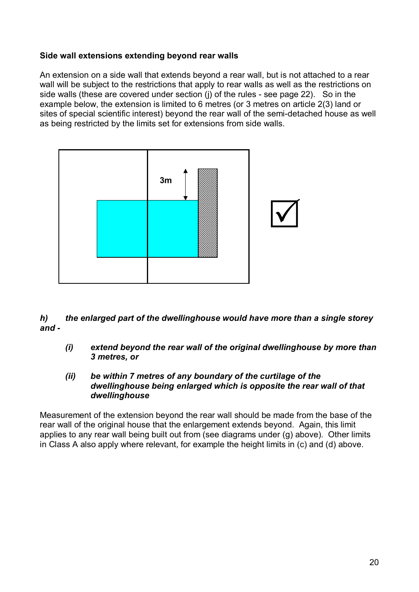# **Side wall extensions extending beyond rear walls**

An extension on a side wall that extends beyond a rear wall, but is not attached to a rear wall will be subject to the restrictions that apply to rear walls as well as the restrictions on side walls (these are covered under section (j) of the rules - see page 22). So in the example below, the extension is limited to 6 metres (or 3 metres on article 2(3) land or sites of special scientific interest) beyond the rear wall of the semi-detached house as well as being restricted by the limits set for extensions from side walls.



*h) the enlarged part of the dwellinghouse would have more than a single storey and -*

*(i) extend beyond the rear wall of the original dwellinghouse by more than 3 metres, or* 

#### *(ii) be within 7 metres of any boundary of the curtilage of the dwellinghouse being enlarged which is opposite the rear wall of that dwellinghouse*

Measurement of the extension beyond the rear wall should be made from the base of the rear wall of the original house that the enlargement extends beyond. Again, this limit applies to any rear wall being built out from (see diagrams under (g) above). Other limits in Class A also apply where relevant, for example the height limits in (c) and (d) above.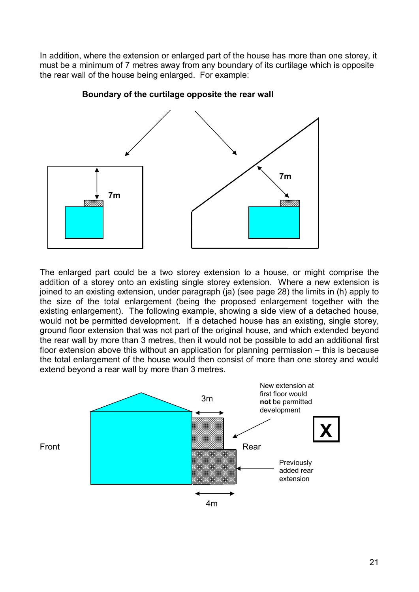In addition, where the extension or enlarged part of the house has more than one storey, it must be a minimum of 7 metres away from any boundary of its curtilage which is opposite the rear wall of the house being enlarged. For example:



 **Boundary of the curtilage opposite the rear wall** 

The enlarged part could be a two storey extension to a house, or might comprise the addition of a storey onto an existing single storey extension. Where a new extension is joined to an existing extension, under paragraph (ja) (see page 28) the limits in (h) apply to the size of the total enlargement (being the proposed enlargement together with the existing enlargement). The following example, showing a side view of a detached house, would not be permitted development. If a detached house has an existing, single storey, ground floor extension that was not part of the original house, and which extended beyond the rear wall by more than 3 metres, then it would not be possible to add an additional first floor extension above this without an application for planning permission – this is because the total enlargement of the house would then consist of more than one storey and would extend beyond a rear wall by more than 3 metres.

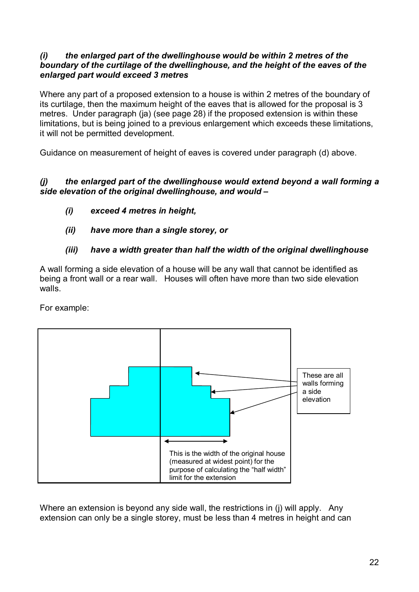### *(i) the enlarged part of the dwellinghouse would be within 2 metres of the boundary of the curtilage of the dwellinghouse, and the height of the eaves of the enlarged part would exceed 3 metres*

Where any part of a proposed extension to a house is within 2 metres of the boundary of its curtilage, then the maximum height of the eaves that is allowed for the proposal is 3 metres. Under paragraph (ja) (see page 28) if the proposed extension is within these limitations, but is being joined to a previous enlargement which exceeds these limitations, it will not be permitted development.

Guidance on measurement of height of eaves is covered under paragraph (d) above.

# *(j) the enlarged part of the dwellinghouse would extend beyond a wall forming a side elevation of the original dwellinghouse, and would –*

- *(i) exceed 4 metres in height,*
- *(ii) have more than a single storey, or*

# *(iii) have a width greater than half the width of the original dwellinghouse*

A wall forming a side elevation of a house will be any wall that cannot be identified as being a front wall or a rear wall. Houses will often have more than two side elevation walls.

For example:



Where an extension is beyond any side wall, the restrictions in (i) will apply. Any extension can only be a single storey, must be less than 4 metres in height and can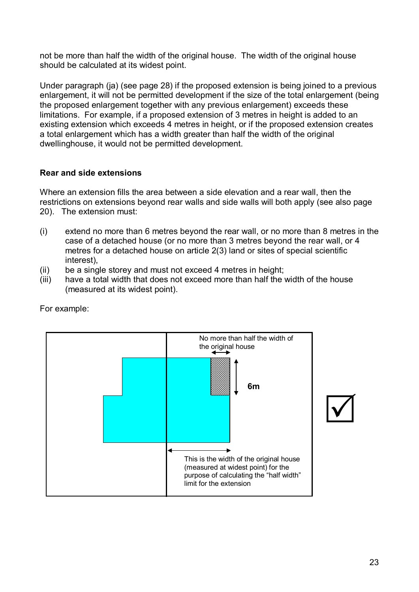not be more than half the width of the original house. The width of the original house should be calculated at its widest point.

Under paragraph (ja) (see page 28) if the proposed extension is being joined to a previous enlargement, it will not be permitted development if the size of the total enlargement (being the proposed enlargement together with any previous enlargement) exceeds these limitations. For example, if a proposed extension of 3 metres in height is added to an existing extension which exceeds 4 metres in height, or if the proposed extension creates a total enlargement which has a width greater than half the width of the original dwellinghouse, it would not be permitted development.

# **Rear and side extensions**

Where an extension fills the area between a side elevation and a rear wall, then the restrictions on extensions beyond rear walls and side walls will both apply (see also page 20). The extension must:

- (i) extend no more than 6 metres beyond the rear wall, or no more than 8 metres in the case of a detached house (or no more than 3 metres beyond the rear wall, or 4 metres for a detached house on article 2(3) land or sites of special scientific interest),
- (ii) be a single storey and must not exceed 4 metres in height;
- (iii) have a total width that does not exceed more than half the width of the house (measured at its widest point).



For example: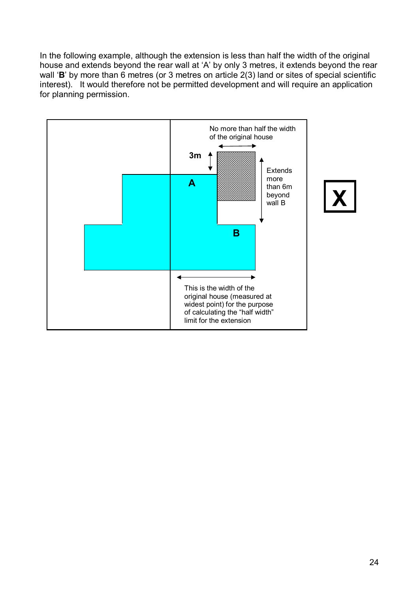In the following example, although the extension is less than half the width of the original house and extends beyond the rear wall at 'A' by only 3 metres, it extends beyond the rear wall '**B**' by more than 6 metres (or 3 metres on article 2(3) land or sites of special scientific interest). It would therefore not be permitted development and will require an application for planning permission.



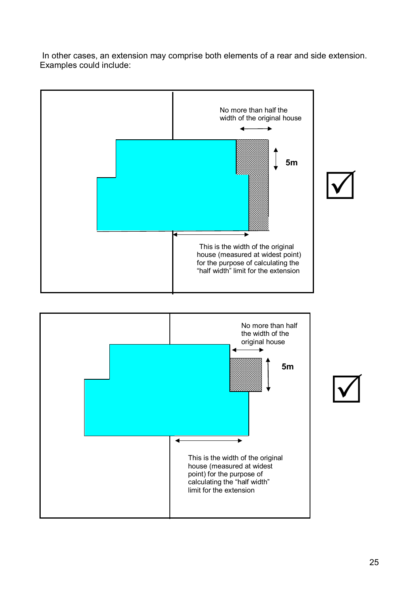In other cases, an extension may comprise both elements of a rear and side extension. Examples could include:

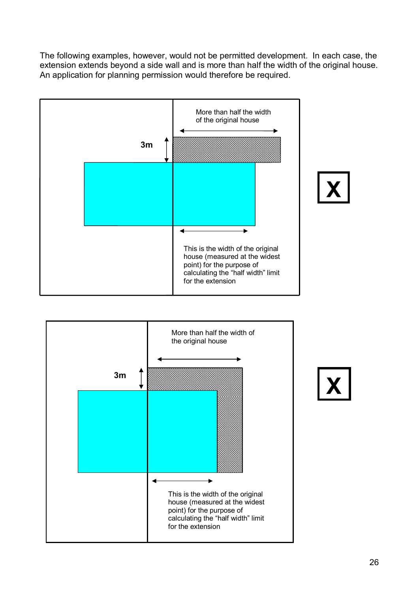The following examples, however, would not be permitted development. In each case, the extension extends beyond a side wall and is more than half the width of the original house. An application for planning permission would therefore be required.





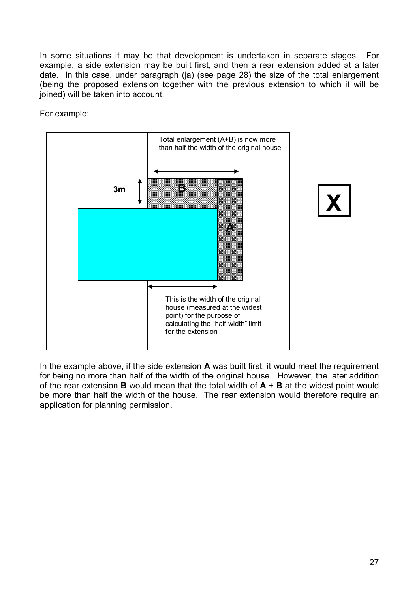In some situations it may be that development is undertaken in separate stages. For example, a side extension may be built first, and then a rear extension added at a later date. In this case, under paragraph (ja) (see page 28) the size of the total enlargement (being the proposed extension together with the previous extension to which it will be joined) will be taken into account.

For example:





In the example above, if the side extension **A** was built first, it would meet the requirement for being no more than half of the width of the original house. However, the later addition of the rear extension **B** would mean that the total width of **A** + **B** at the widest point would be more than half the width of the house. The rear extension would therefore require an application for planning permission.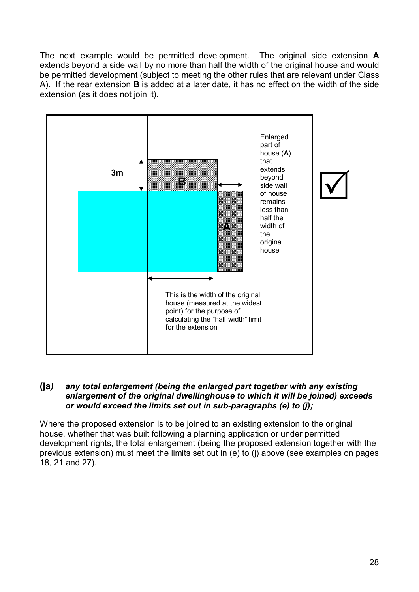The next example would be permitted development. The original side extension **A** extends beyond a side wall by no more than half the width of the original house and would be permitted development (subject to meeting the other rules that are relevant under Class A). If the rear extension **B** is added at a later date, it has no effect on the width of the side extension (as it does not join it).



### **(ja***) any total enlargement (being the enlarged part together with any existing enlargement of the original dwellinghouse to which it will be joined) exceeds or would exceed the limits set out in sub-paragraphs (e) to (j);*

Where the proposed extension is to be joined to an existing extension to the original house, whether that was built following a planning application or under permitted development rights, the total enlargement (being the proposed extension together with the previous extension) must meet the limits set out in (e) to (j) above (see examples on pages 18, 21 and 27).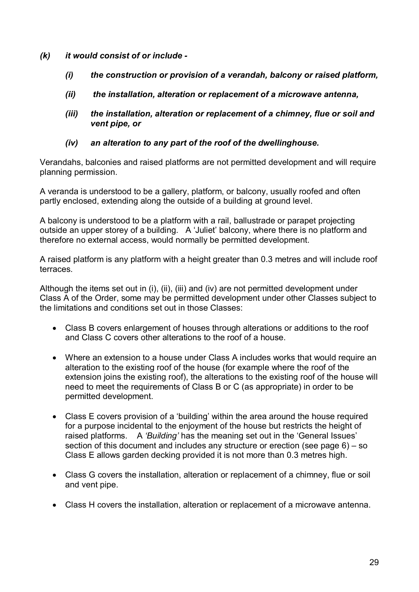- *(k) it would consist of or include -*
	- *(i) the construction or provision of a verandah, balcony or raised platform,*
	- *(ii) the installation, alteration or replacement of a microwave antenna,*
	- *(iii) the installation, alteration or replacement of a chimney, flue or soil and vent pipe, or*
	- *(iv) an alteration to any part of the roof of the dwellinghouse.*

Verandahs, balconies and raised platforms are not permitted development and will require planning permission.

A veranda is understood to be a gallery, platform, or balcony, usually roofed and often partly enclosed, extending along the outside of a building at ground level.

A balcony is understood to be a platform with a rail, ballustrade or parapet projecting outside an upper storey of a building. A 'Juliet' balcony, where there is no platform and therefore no external access, would normally be permitted development.

A raised platform is any platform with a height greater than 0.3 metres and will include roof terraces.

Although the items set out in (i), (ii), (iii) and (iv) are not permitted development under Class A of the Order, some may be permitted development under other Classes subject to the limitations and conditions set out in those Classes:

- Class B covers enlargement of houses through alterations or additions to the roof and Class C covers other alterations to the roof of a house.
- Where an extension to a house under Class A includes works that would require an alteration to the existing roof of the house (for example where the roof of the extension joins the existing roof), the alterations to the existing roof of the house will need to meet the requirements of Class B or C (as appropriate) in order to be permitted development.
- Class E covers provision of a 'building' within the area around the house required for a purpose incidental to the enjoyment of the house but restricts the height of raised platforms. A *'Building'* has the meaning set out in the 'General Issues' section of this document and includes any structure or erection (see page 6) – so Class E allows garden decking provided it is not more than 0.3 metres high.
- Class G covers the installation, alteration or replacement of a chimney, flue or soil and vent pipe.
- Class H covers the installation, alteration or replacement of a microwave antenna.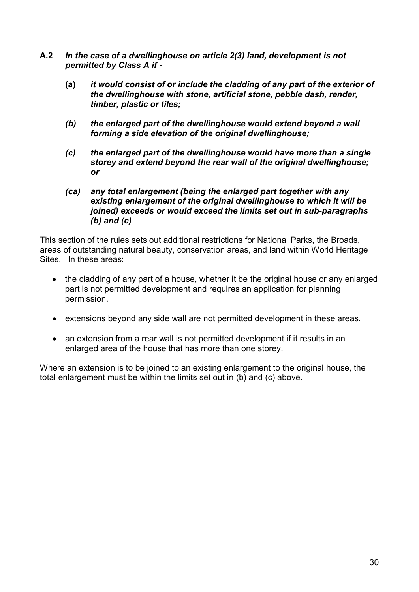- **A.2** *In the case of a dwellinghouse on article 2(3) land, development is not permitted by Class A if -*
	- **(a)** *it would consist of or include the cladding of any part of the exterior of the dwellinghouse with stone, artificial stone, pebble dash, render, timber, plastic or tiles;*
	- *(b) the enlarged part of the dwellinghouse would extend beyond a wall forming a side elevation of the original dwellinghouse;*
	- *(c) the enlarged part of the dwellinghouse would have more than a single storey and extend beyond the rear wall of the original dwellinghouse; or*
	- *(ca) any total enlargement (being the enlarged part together with any existing enlargement of the original dwellinghouse to which it will be joined) exceeds or would exceed the limits set out in sub-paragraphs (b) and (c)*

This section of the rules sets out additional restrictions for National Parks, the Broads, areas of outstanding natural beauty, conservation areas, and land within World Heritage Sites. In these areas:

- the cladding of any part of a house, whether it be the original house or any enlarged part is not permitted development and requires an application for planning permission.
- extensions beyond any side wall are not permitted development in these areas.
- an extension from a rear wall is not permitted development if it results in an enlarged area of the house that has more than one storey.

Where an extension is to be joined to an existing enlargement to the original house, the total enlargement must be within the limits set out in (b) and (c) above.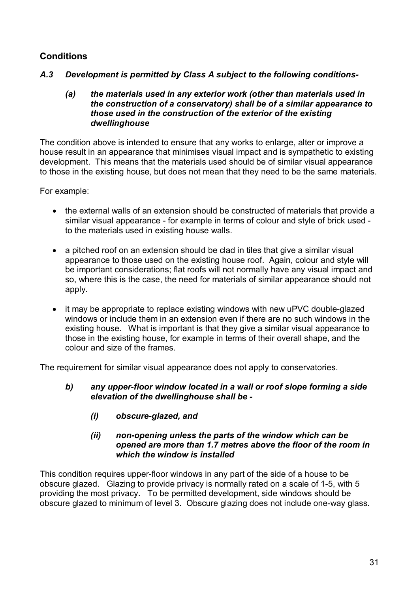# **Conditions**

*A.3 Development is permitted by Class A subject to the following conditions-*

### *(a) the materials used in any exterior work (other than materials used in the construction of a conservatory) shall be of a similar appearance to those used in the construction of the exterior of the existing dwellinghouse*

The condition above is intended to ensure that any works to enlarge, alter or improve a house result in an appearance that minimises visual impact and is sympathetic to existing development. This means that the materials used should be of similar visual appearance to those in the existing house, but does not mean that they need to be the same materials.

For example:

- the external walls of an extension should be constructed of materials that provide a similar visual appearance - for example in terms of colour and style of brick used to the materials used in existing house walls.
- a pitched roof on an extension should be clad in tiles that give a similar visual appearance to those used on the existing house roof. Again, colour and style will be important considerations; flat roofs will not normally have any visual impact and so, where this is the case, the need for materials of similar appearance should not apply.
- it may be appropriate to replace existing windows with new uPVC double-glazed windows or include them in an extension even if there are no such windows in the existing house. What is important is that they give a similar visual appearance to those in the existing house, for example in terms of their overall shape, and the colour and size of the frames.

The requirement for similar visual appearance does not apply to conservatories.

- *b) any upper-floor window located in a wall or roof slope forming a side elevation of the dwellinghouse shall be -*
	- *(i) obscure-glazed, and*

### *(ii) non-opening unless the parts of the window which can be opened are more than 1.7 metres above the floor of the room in which the window is installed*

This condition requires upper-floor windows in any part of the side of a house to be obscure glazed. Glazing to provide privacy is normally rated on a scale of 1-5, with 5 providing the most privacy. To be permitted development, side windows should be obscure glazed to minimum of level 3. Obscure glazing does not include one-way glass.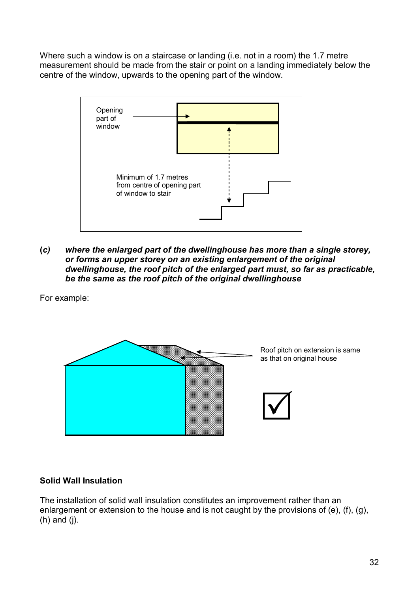Where such a window is on a staircase or landing (i.e. not in a room) the 1.7 metre measurement should be made from the stair or point on a landing immediately below the centre of the window, upwards to the opening part of the window.



**(***c) where the enlarged part of the dwellinghouse has more than a single storey, or forms an upper storey on an existing enlargement of the original dwellinghouse, the roof pitch of the enlarged part must, so far as practicable, be the same as the roof pitch of the original dwellinghouse*

For example:



# **Solid Wall Insulation**

The installation of solid wall insulation constitutes an improvement rather than an enlargement or extension to the house and is not caught by the provisions of (e), (f), (g),  $(h)$  and  $(i)$ .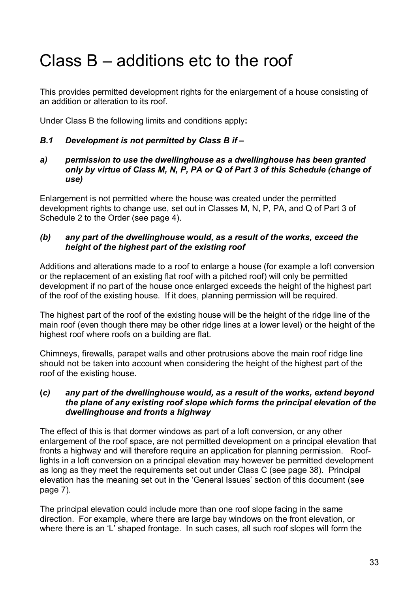# <span id="page-32-0"></span>Class B – additions etc to the roof

This provides permitted development rights for the enlargement of a house consisting of an addition or alteration to its roof.

Under Class B the following limits and conditions apply**:**

# *B.1 Development is not permitted by Class B if –*

*a) permission to use the dwellinghouse as a dwellinghouse has been granted only by virtue of Class M, N, P, PA or Q of Part 3 of this Schedule (change of use)*

Enlargement is not permitted where the house was created under the permitted development rights to change use, set out in Classes M, N, P, PA, and Q of Part 3 of Schedule 2 to the Order (see page 4).

### *(b) any part of the dwellinghouse would, as a result of the works, exceed the height of the highest part of the existing roof*

Additions and alterations made to a roof to enlarge a house (for example a loft conversion or the replacement of an existing flat roof with a pitched roof) will only be permitted development if no part of the house once enlarged exceeds the height of the highest part of the roof of the existing house. If it does, planning permission will be required.

The highest part of the roof of the existing house will be the height of the ridge line of the main roof (even though there may be other ridge lines at a lower level) or the height of the highest roof where roofs on a building are flat.

Chimneys, firewalls, parapet walls and other protrusions above the main roof ridge line should not be taken into account when considering the height of the highest part of the roof of the existing house.

#### **(***c) any part of the dwellinghouse would, as a result of the works, extend beyond the plane of any existing roof slope which forms the principal elevation of the dwellinghouse and fronts a highway*

The effect of this is that dormer windows as part of a loft conversion, or any other enlargement of the roof space, are not permitted development on a principal elevation that fronts a highway and will therefore require an application for planning permission. Rooflights in a loft conversion on a principal elevation may however be permitted development as long as they meet the requirements set out under Class C (see page 38). Principal elevation has the meaning set out in the 'General Issues' section of this document (see page 7).

The principal elevation could include more than one roof slope facing in the same direction. For example, where there are large bay windows on the front elevation, or where there is an 'L' shaped frontage. In such cases, all such roof slopes will form the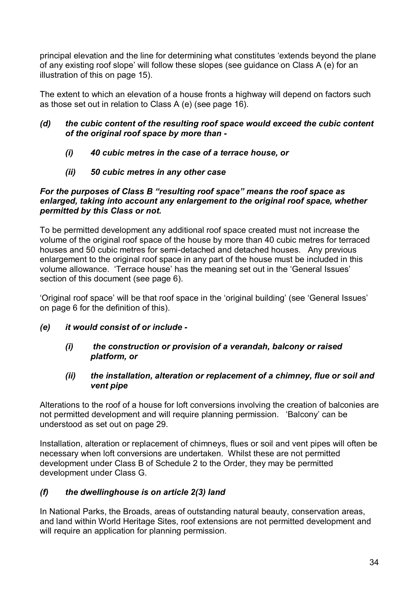principal elevation and the line for determining what constitutes 'extends beyond the plane of any existing roof slope' will follow these slopes (see guidance on Class A (e) for an illustration of this on page 15).

The extent to which an elevation of a house fronts a highway will depend on factors such as those set out in relation to Class A (e) (see page 16).

### *(d) the cubic content of the resulting roof space would exceed the cubic content of the original roof space by more than -*

- *(i) 40 cubic metres in the case of a terrace house, or*
- *(ii) 50 cubic metres in any other case*

### *For the purposes of Class B "resulting roof space" means the roof space as enlarged, taking into account any enlargement to the original roof space, whether permitted by this Class or not.*

To be permitted development any additional roof space created must not increase the volume of the original roof space of the house by more than 40 cubic metres for terraced houses and 50 cubic metres for semi-detached and detached houses. Any previous enlargement to the original roof space in any part of the house must be included in this volume allowance. 'Terrace house' has the meaning set out in the 'General Issues' section of this document (see page 6).

'Original roof space' will be that roof space in the 'original building' (see 'General Issues' on page 6 for the definition of this).

*(e) it would consist of or include -*

# *(i) the construction or provision of a verandah, balcony or raised platform, or*

# *(ii) the installation, alteration or replacement of a chimney, flue or soil and vent pipe*

Alterations to the roof of a house for loft conversions involving the creation of balconies are not permitted development and will require planning permission. 'Balcony' can be understood as set out on page 29.

Installation, alteration or replacement of chimneys, flues or soil and vent pipes will often be necessary when loft conversions are undertaken. Whilst these are not permitted development under Class B of Schedule 2 to the Order, they may be permitted development under Class G.

# *(f) the dwellinghouse is on article 2(3) land*

In National Parks, the Broads, areas of outstanding natural beauty, conservation areas, and land within World Heritage Sites, roof extensions are not permitted development and will require an application for planning permission.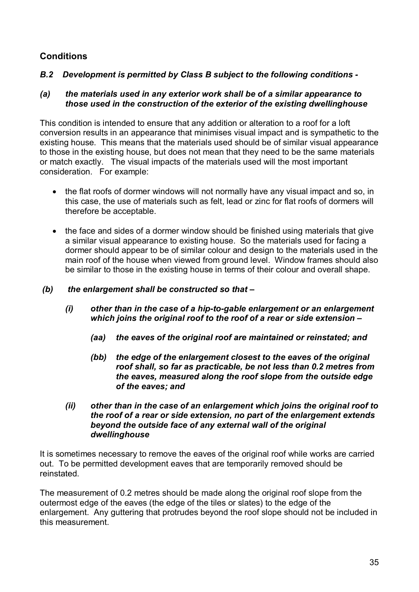# **Conditions**

# *B.2 Development is permitted by Class B subject to the following conditions -*

#### *(a) the materials used in any exterior work shall be of a similar appearance to those used in the construction of the exterior of the existing dwellinghouse*

This condition is intended to ensure that any addition or alteration to a roof for a loft conversion results in an appearance that minimises visual impact and is sympathetic to the existing house. This means that the materials used should be of similar visual appearance to those in the existing house, but does not mean that they need to be the same materials or match exactly. The visual impacts of the materials used will the most important consideration. For example:

- the flat roofs of dormer windows will not normally have any visual impact and so, in this case, the use of materials such as felt, lead or zinc for flat roofs of dormers will therefore be acceptable.
- the face and sides of a dormer window should be finished using materials that give a similar visual appearance to existing house. So the materials used for facing a dormer should appear to be of similar colour and design to the materials used in the main roof of the house when viewed from ground level. Window frames should also be similar to those in the existing house in terms of their colour and overall shape.

### *(b) the enlargement shall be constructed so that –*

- *(i) other than in the case of a hip-to-gable enlargement or an enlargement which joins the original roof to the roof of a rear or side extension –*
	- *(aa) the eaves of the original roof are maintained or reinstated; and*
	- *(bb) the edge of the enlargement closest to the eaves of the original roof shall, so far as practicable, be not less than 0.2 metres from the eaves, measured along the roof slope from the outside edge of the eaves; and*
- *(ii) other than in the case of an enlargement which joins the original roof to the roof of a rear or side extension, no part of the enlargement extends beyond the outside face of any external wall of the original dwellinghouse*

It is sometimes necessary to remove the eaves of the original roof while works are carried out. To be permitted development eaves that are temporarily removed should be reinstated.

The measurement of 0.2 metres should be made along the original roof slope from the outermost edge of the eaves (the edge of the tiles or slates) to the edge of the enlargement. Any guttering that protrudes beyond the roof slope should not be included in this measurement.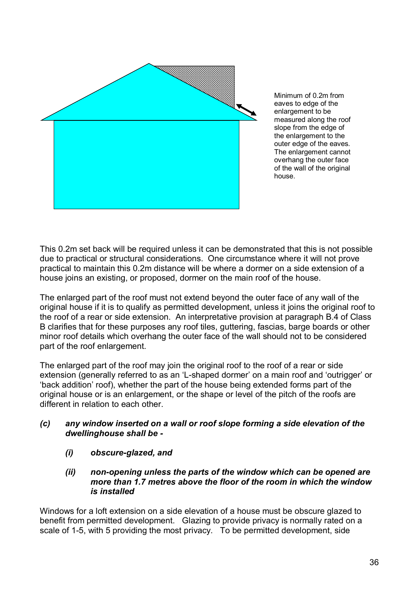

Minimum of 0.2m from eaves to edge of the enlargement to be measured along the roof slope from the edge of the enlargement to the outer edge of the eaves. The enlargement cannot overhang the outer face of the wall of the original house.

This 0.2m set back will be required unless it can be demonstrated that this is not possible due to practical or structural considerations. One circumstance where it will not prove practical to maintain this 0.2m distance will be where a dormer on a side extension of a house joins an existing, or proposed, dormer on the main roof of the house.

The enlarged part of the roof must not extend beyond the outer face of any wall of the original house if it is to qualify as permitted development, unless it joins the original roof to the roof of a rear or side extension. An interpretative provision at paragraph B.4 of Class B clarifies that for these purposes any roof tiles, guttering, fascias, barge boards or other minor roof details which overhang the outer face of the wall should not to be considered part of the roof enlargement.

The enlarged part of the roof may join the original roof to the roof of a rear or side extension (generally referred to as an 'L-shaped dormer' on a main roof and 'outrigger' or 'back addition' roof), whether the part of the house being extended forms part of the original house or is an enlargement, or the shape or level of the pitch of the roofs are different in relation to each other.

### *(c) any window inserted on a wall or roof slope forming a side elevation of the dwellinghouse shall be -*

- *(i) obscure-glazed, and*
- *(ii) non-opening unless the parts of the window which can be opened are more than 1.7 metres above the floor of the room in which the window is installed*

Windows for a loft extension on a side elevation of a house must be obscure glazed to benefit from permitted development. Glazing to provide privacy is normally rated on a scale of 1-5, with 5 providing the most privacy. To be permitted development, side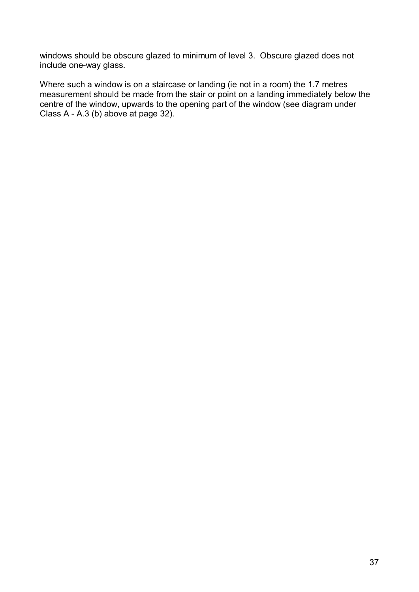windows should be obscure glazed to minimum of level 3. Obscure glazed does not include one-way glass.

Where such a window is on a staircase or landing (ie not in a room) the 1.7 metres measurement should be made from the stair or point on a landing immediately below the centre of the window, upwards to the opening part of the window (see diagram under Class A - A.3 (b) above at page 32).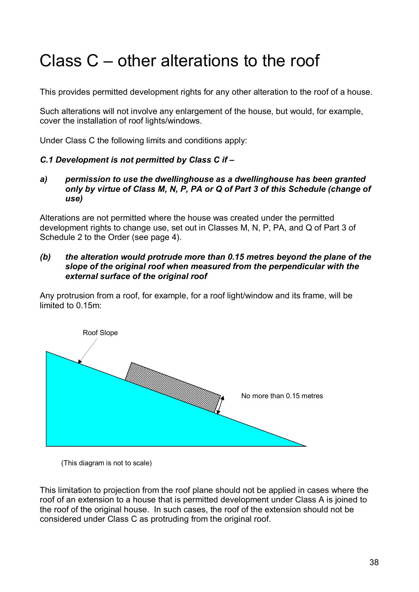# <span id="page-37-0"></span>Class C – other alterations to the roof

This provides permitted development rights for any other alteration to the roof of a house.

Such alterations will not involve any enlargement of the house, but would, for example, cover the installation of roof lights/windows.

Under Class C the following limits and conditions apply:

### *C.1 Development is not permitted by Class C if –*

*a) permission to use the dwellinghouse as a dwellinghouse has been granted only by virtue of Class M, N, P, PA or Q of Part 3 of this Schedule (change of use)*

Alterations are not permitted where the house was created under the permitted development rights to change use, set out in Classes M, N, P, PA, and Q of Part 3 of Schedule 2 to the Order (see page 4).

#### *(b) the alteration would protrude more than 0.15 metres beyond the plane of the slope of the original roof when measured from the perpendicular with the external surface of the original roof*

Any protrusion from a roof, for example, for a roof light/window and its frame, will be limited to 0.15m:



<sup>(</sup>This diagram is not to scale)

This limitation to projection from the roof plane should not be applied in cases where the roof of an extension to a house that is permitted development under Class A is joined to the roof of the original house. In such cases, the roof of the extension should not be considered under Class C as protruding from the original roof.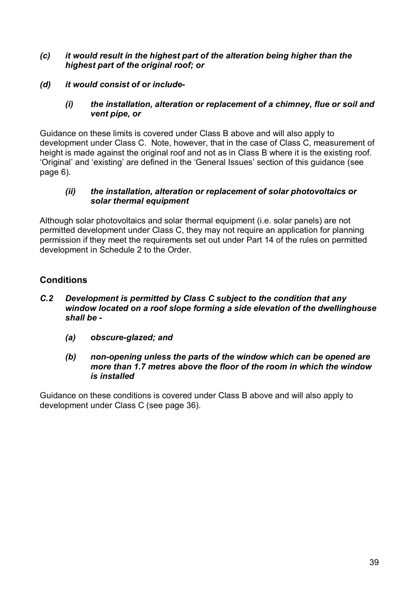### *(c) it would result in the highest part of the alteration being higher than the highest part of the original roof; or*

*(d) it would consist of or include-*

### *(i) the installation, alteration or replacement of a chimney, flue or soil and vent pipe, or*

Guidance on these limits is covered under Class B above and will also apply to development under Class C. Note, however, that in the case of Class C, measurement of height is made against the original roof and not as in Class B where it is the existing roof. 'Original' and 'existing' are defined in the 'General Issues' section of this guidance (see page 6).

### *(ii) the installation, alteration or replacement of solar photovoltaics or solar thermal equipment*

Although solar photovoltaics and solar thermal equipment (i.e. solar panels) are not permitted development under Class C, they may not require an application for planning permission if they meet the requirements set out under Part 14 of the rules on permitted development in Schedule 2 to the Order.

# **Conditions**

- *C.2 Development is permitted by Class C subject to the condition that any window located on a roof slope forming a side elevation of the dwellinghouse shall be -*
	- *(a) obscure-glazed; and*
	- *(b) non-opening unless the parts of the window which can be opened are more than 1.7 metres above the floor of the room in which the window is installed*

Guidance on these conditions is covered under Class B above and will also apply to development under Class C (see page 36).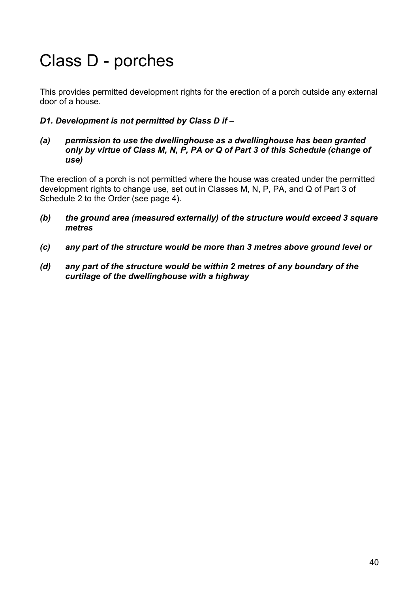# <span id="page-39-0"></span>Class D - porches

This provides permitted development rights for the erection of a porch outside any external door of a house.

# *D1. Development is not permitted by Class D if –*

*(a) permission to use the dwellinghouse as a dwellinghouse has been granted only by virtue of Class M, N, P, PA or Q of Part 3 of this Schedule (change of use)*

The erection of a porch is not permitted where the house was created under the permitted development rights to change use, set out in Classes M, N, P, PA, and Q of Part 3 of Schedule 2 to the Order (see page 4).

- *(b) the ground area (measured externally) of the structure would exceed 3 square metres*
- *(c) any part of the structure would be more than 3 metres above ground level or*
- *(d) any part of the structure would be within 2 metres of any boundary of the curtilage of the dwellinghouse with a highway*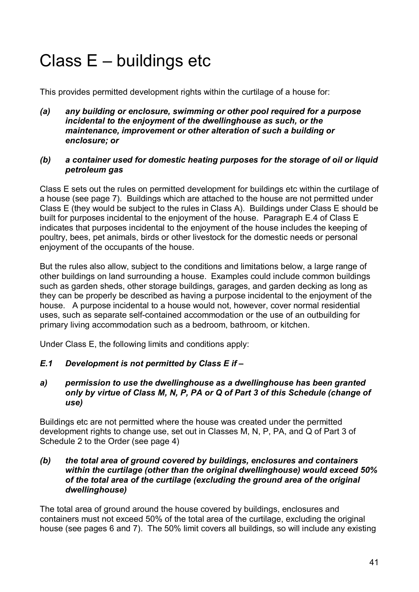# <span id="page-40-0"></span>Class E – buildings etc

This provides permitted development rights within the curtilage of a house for:

*(a) any building or enclosure, swimming or other pool required for a purpose incidental to the enjoyment of the dwellinghouse as such, or the maintenance, improvement or other alteration of such a building or enclosure; or* 

### *(b) a container used for domestic heating purposes for the storage of oil or liquid petroleum gas*

Class E sets out the rules on permitted development for buildings etc within the curtilage of a house (see page 7). Buildings which are attached to the house are not permitted under Class E (they would be subject to the rules in Class A). Buildings under Class E should be built for purposes incidental to the enjoyment of the house. Paragraph E.4 of Class E indicates that purposes incidental to the enjoyment of the house includes the keeping of poultry, bees, pet animals, birds or other livestock for the domestic needs or personal enjoyment of the occupants of the house.

But the rules also allow, subject to the conditions and limitations below, a large range of other buildings on land surrounding a house. Examples could include common buildings such as garden sheds, other storage buildings, garages, and garden decking as long as they can be properly be described as having a purpose incidental to the enjoyment of the house. A purpose incidental to a house would not, however, cover normal residential uses, such as separate self-contained accommodation or the use of an outbuilding for primary living accommodation such as a bedroom, bathroom, or kitchen.

Under Class E, the following limits and conditions apply:

- *E.1 Development is not permitted by Class E if –*
- *a) permission to use the dwellinghouse as a dwellinghouse has been granted only by virtue of Class M, N, P, PA or Q of Part 3 of this Schedule (change of use)*

Buildings etc are not permitted where the house was created under the permitted development rights to change use, set out in Classes M, N, P, PA, and Q of Part 3 of Schedule 2 to the Order (see page 4)

### *(b) the total area of ground covered by buildings, enclosures and containers within the curtilage (other than the original dwellinghouse) would exceed 50% of the total area of the curtilage (excluding the ground area of the original dwellinghouse)*

The total area of ground around the house covered by buildings, enclosures and containers must not exceed 50% of the total area of the curtilage, excluding the original house (see pages 6 and 7). The 50% limit covers all buildings, so will include any existing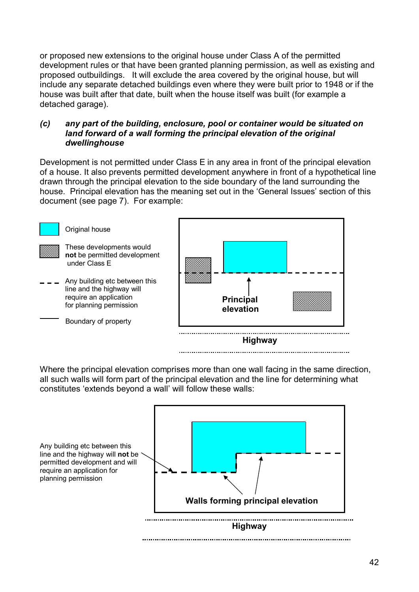or proposed new extensions to the original house under Class A of the permitted development rules or that have been granted planning permission, as well as existing and proposed outbuildings. It will exclude the area covered by the original house, but will include any separate detached buildings even where they were built prior to 1948 or if the house was built after that date, built when the house itself was built (for example a detached garage).

### *(c) any part of the building, enclosure, pool or container would be situated on land forward of a wall forming the principal elevation of the original dwellinghouse*

Development is not permitted under Class E in any area in front of the principal elevation of a house. It also prevents permitted development anywhere in front of a hypothetical line drawn through the principal elevation to the side boundary of the land surrounding the house. Principal elevation has the meaning set out in the 'General Issues' section of this document (see page 7). For example:



Where the principal elevation comprises more than one wall facing in the same direction, all such walls will form part of the principal elevation and the line for determining what constitutes 'extends beyond a wall' will follow these walls:

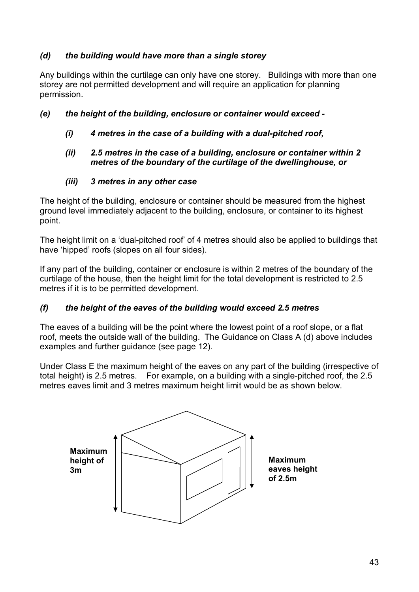# *(d) the building would have more than a single storey*

Any buildings within the curtilage can only have one storey. Buildings with more than one storey are not permitted development and will require an application for planning permission.

# *(e) the height of the building, enclosure or container would exceed -*

*(i) 4 metres in the case of a building with a dual-pitched roof,*

### *(ii) 2.5 metres in the case of a building, enclosure or container within 2 metres of the boundary of the curtilage of the dwellinghouse, or*

# *(iii) 3 metres in any other case*

The height of the building, enclosure or container should be measured from the highest ground level immediately adjacent to the building, enclosure, or container to its highest point.

The height limit on a 'dual-pitched roof' of 4 metres should also be applied to buildings that have 'hipped' roofs (slopes on all four sides).

If any part of the building, container or enclosure is within 2 metres of the boundary of the curtilage of the house, then the height limit for the total development is restricted to 2.5 metres if it is to be permitted development.

# *(f) the height of the eaves of the building would exceed 2.5 metres*

The eaves of a building will be the point where the lowest point of a roof slope, or a flat roof, meets the outside wall of the building. The Guidance on Class A (d) above includes examples and further guidance (see page 12).

Under Class E the maximum height of the eaves on any part of the building (irrespective of total height) is 2.5 metres. For example, on a building with a single-pitched roof, the 2.5 metres eaves limit and 3 metres maximum height limit would be as shown below.

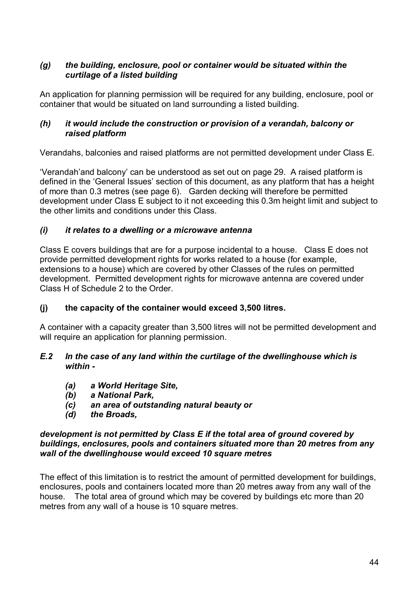# *(g) the building, enclosure, pool or container would be situated within the curtilage of a listed building*

An application for planning permission will be required for any building, enclosure, pool or container that would be situated on land surrounding a listed building.

# *(h) it would include the construction or provision of a verandah, balcony or raised platform*

Verandahs, balconies and raised platforms are not permitted development under Class E.

'Verandah'and balcony' can be understood as set out on page 29. A raised platform is defined in the 'General Issues' section of this document, as any platform that has a height of more than 0.3 metres (see page 6). Garden decking will therefore be permitted development under Class E subject to it not exceeding this 0.3m height limit and subject to the other limits and conditions under this Class.

# *(i) it relates to a dwelling or a microwave antenna*

Class E covers buildings that are for a purpose incidental to a house. Class E does not provide permitted development rights for works related to a house (for example, extensions to a house) which are covered by other Classes of the rules on permitted development. Permitted development rights for microwave antenna are covered under Class H of Schedule 2 to the Order.

# **(j) the capacity of the container would exceed 3,500 litres.**

A container with a capacity greater than 3,500 litres will not be permitted development and will require an application for planning permission.

# *E.2 In the case of any land within the curtilage of the dwellinghouse which is within -*

- *(a) a World Heritage Site,*
- *(b) a National Park,*
- *(c) an area of outstanding natural beauty or*
- *(d) the Broads,*

### *development is not permitted by Class E if the total area of ground covered by buildings, enclosures, pools and containers situated more than 20 metres from any wall of the dwellinghouse would exceed 10 square metres*

The effect of this limitation is to restrict the amount of permitted development for buildings, enclosures, pools and containers located more than 20 metres away from any wall of the house. The total area of ground which may be covered by buildings etc more than 20 metres from any wall of a house is 10 square metres.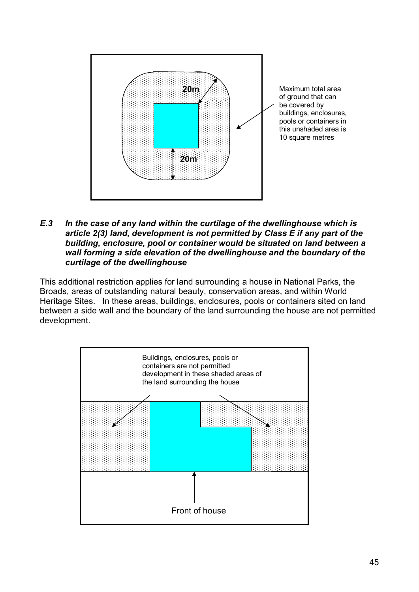

#### *E.3 In the case of any land within the curtilage of the dwellinghouse which is article 2(3) land, development is not permitted by Class E if any part of the building, enclosure, pool or container would be situated on land between a wall forming a side elevation of the dwellinghouse and the boundary of the curtilage of the dwellinghouse*

This additional restriction applies for land surrounding a house in National Parks, the Broads, areas of outstanding natural beauty, conservation areas, and within World Heritage Sites. In these areas, buildings, enclosures, pools or containers sited on land between a side wall and the boundary of the land surrounding the house are not permitted development.

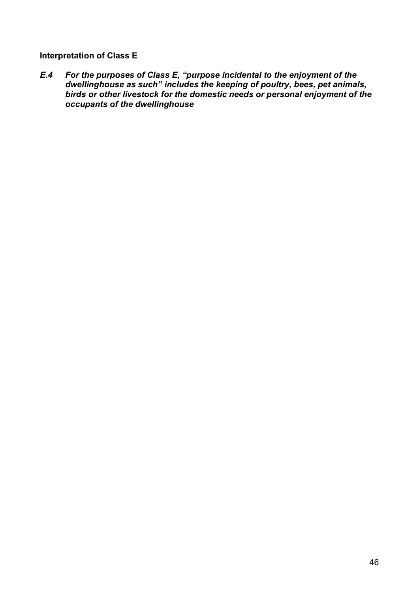**Interpretation of Class E**

*E.4 For the purposes of Class E, "purpose incidental to the enjoyment of the dwellinghouse as such" includes the keeping of poultry, bees, pet animals, birds or other livestock for the domestic needs or personal enjoyment of the occupants of the dwellinghouse*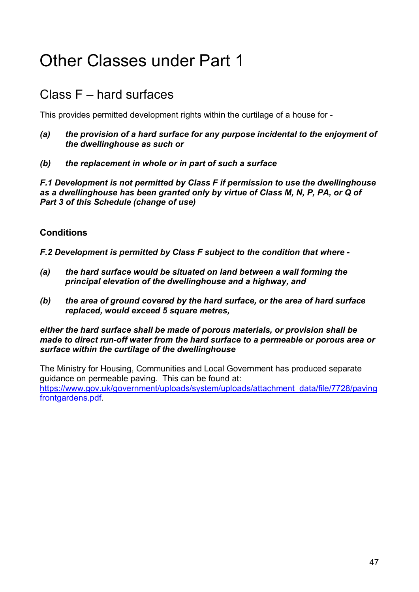# <span id="page-46-0"></span>Other Classes under Part 1

# <span id="page-46-1"></span>Class F – hard surfaces

This provides permitted development rights within the curtilage of a house for -

- *(a) the provision of a hard surface for any purpose incidental to the enjoyment of the dwellinghouse as such or*
- *(b) the replacement in whole or in part of such a surface*

*F.1 Development is not permitted by Class F if permission to use the dwellinghouse as a dwellinghouse has been granted only by virtue of Class M, N, P, PA, or Q of Part 3 of this Schedule (change of use)*

# **Conditions**

*F.2 Development is permitted by Class F subject to the condition that where -*

- *(a) the hard surface would be situated on land between a wall forming the principal elevation of the dwellinghouse and a highway, and*
- *(b) the area of ground covered by the hard surface, or the area of hard surface replaced, would exceed 5 square metres,*

#### *either the hard surface shall be made of porous materials, or provision shall be made to direct run-off water from the hard surface to a permeable or porous area or surface within the curtilage of the dwellinghouse*

The Ministry for Housing, Communities and Local Government has produced separate guidance on permeable paving. This can be found at: [https://www.gov.uk/government/uploads/system/uploads/attachment\\_data/file/7728/paving](https://www.gov.uk/government/uploads/system/uploads/attachment_data/file/7728/pavingfrontgardens.pdf) frontgardens.pdf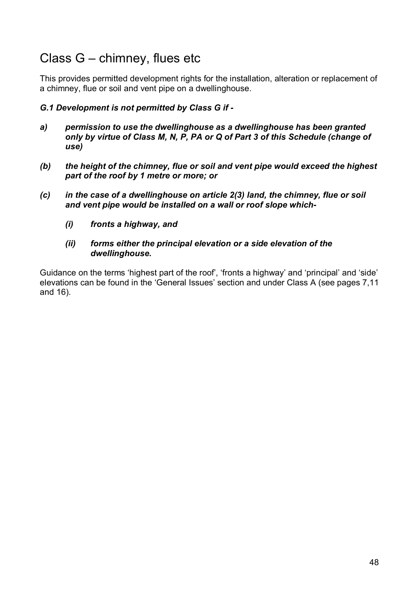# <span id="page-47-0"></span>Class G – chimney, flues etc

This provides permitted development rights for the installation, alteration or replacement of a chimney, flue or soil and vent pipe on a dwellinghouse.

# *G.1 Development is not permitted by Class G if -*

- *a) permission to use the dwellinghouse as a dwellinghouse has been granted only by virtue of Class M, N, P, PA or Q of Part 3 of this Schedule (change of use)*
- *(b) the height of the chimney, flue or soil and vent pipe would exceed the highest part of the roof by 1 metre or more; or*
- *(c) in the case of a dwellinghouse on article 2(3) land, the chimney, flue or soil and vent pipe would be installed on a wall or roof slope which-*
	- *(i) fronts a highway, and*
	- *(ii) forms either the principal elevation or a side elevation of the dwellinghouse.*

Guidance on the terms 'highest part of the roof', 'fronts a highway' and 'principal' and 'side' elevations can be found in the 'General Issues' section and under Class A (see pages 7,11 and 16).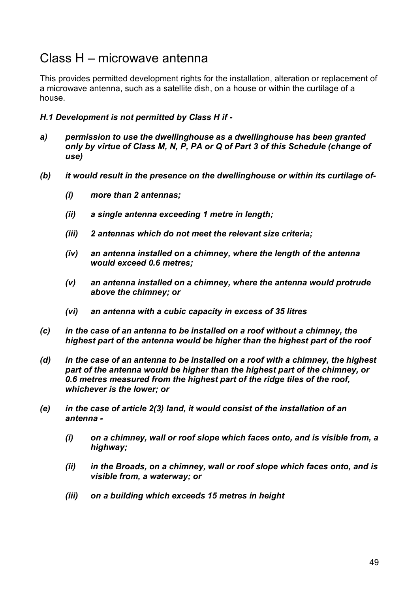# <span id="page-48-0"></span>Class H – microwave antenna

This provides permitted development rights for the installation, alteration or replacement of a microwave antenna, such as a satellite dish, on a house or within the curtilage of a house.

### *H.1 Development is not permitted by Class H if -*

- *a) permission to use the dwellinghouse as a dwellinghouse has been granted only by virtue of Class M, N, P, PA or Q of Part 3 of this Schedule (change of use)*
- *(b) it would result in the presence on the dwellinghouse or within its curtilage of-*
	- *(i) more than 2 antennas;*
	- *(ii) a single antenna exceeding 1 metre in length;*
	- *(iii) 2 antennas which do not meet the relevant size criteria;*
	- *(iv) an antenna installed on a chimney, where the length of the antenna would exceed 0.6 metres;*
	- *(v) an antenna installed on a chimney, where the antenna would protrude above the chimney; or*
	- *(vi) an antenna with a cubic capacity in excess of 35 litres*
- *(c) in the case of an antenna to be installed on a roof without a chimney, the highest part of the antenna would be higher than the highest part of the roof*
- *(d) in the case of an antenna to be installed on a roof with a chimney, the highest part of the antenna would be higher than the highest part of the chimney, or 0.6 metres measured from the highest part of the ridge tiles of the roof, whichever is the lower; or*
- *(e) in the case of article 2(3) land, it would consist of the installation of an antenna -*
	- *(i) on a chimney, wall or roof slope which faces onto, and is visible from, a highway;*
	- *(ii) in the Broads, on a chimney, wall or roof slope which faces onto, and is visible from, a waterway; or*
	- *(iii) on a building which exceeds 15 metres in height*